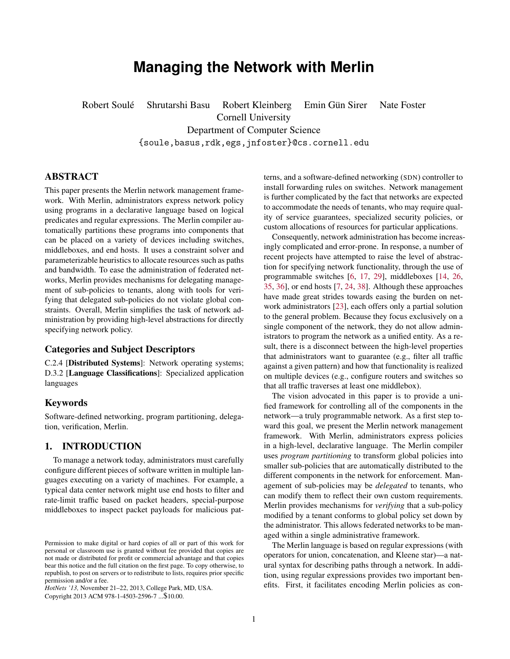# **Managing the Network with Merlin**

Robert Soulé Shrutarshi Basu Robert Kleinberg Emin Gün Sirer Nate Foster Cornell University Department of Computer Science {soule,basus,rdk,egs,jnfoster}@cs.cornell.edu

# ABSTRACT

This paper presents the Merlin network management framework. With Merlin, administrators express network policy using programs in a declarative language based on logical predicates and regular expressions. The Merlin compiler automatically partitions these programs into components that can be placed on a variety of devices including switches, middleboxes, and end hosts. It uses a constraint solver and parameterizable heuristics to allocate resources such as paths and bandwidth. To ease the administration of federated networks, Merlin provides mechanisms for delegating management of sub-policies to tenants, along with tools for verifying that delegated sub-policies do not violate global constraints. Overall, Merlin simplifies the task of network administration by providing high-level abstractions for directly specifying network policy.

# Categories and Subject Descriptors

C.2.4 [Distributed Systems]: Network operating systems; D.3.2 [Language Classifications]: Specialized application languages

#### Keywords

Software-defined networking, program partitioning, delegation, verification, Merlin.

#### 1. INTRODUCTION

To manage a network today, administrators must carefully configure different pieces of software written in multiple languages executing on a variety of machines. For example, a typical data center network might use end hosts to filter and rate-limit traffic based on packet headers, special-purpose middleboxes to inspect packet payloads for malicious pat-

*HotNets '13,* November 21–22, 2013, College Park, MD, USA. Copyright 2013 ACM 978-1-4503-2596-7 ...\$10.00.

terns, and a software-defined networking (SDN) controller to install forwarding rules on switches. Network management is further complicated by the fact that networks are expected to accommodate the needs of tenants, who may require quality of service guarantees, specialized security policies, or custom allocations of resources for particular applications.

Consequently, network administration has become increasingly complicated and error-prone. In response, a number of recent projects have attempted to raise the level of abstraction for specifying network functionality, through the use of programmable switches [\[6,](#page-6-0) [17,](#page-6-1) [29\]](#page-6-2), middleboxes [\[14,](#page-6-3) [26,](#page-6-4) [35,](#page-6-5) [36\]](#page-6-6), or end hosts [\[7,](#page-6-7) [24,](#page-6-8) [38\]](#page-6-9). Although these approaches have made great strides towards easing the burden on network administrators [\[23\]](#page-6-10), each offers only a partial solution to the general problem. Because they focus exclusively on a single component of the network, they do not allow administrators to program the network as a unified entity. As a result, there is a disconnect between the high-level properties that administrators want to guarantee (e.g., filter all traffic against a given pattern) and how that functionality is realized on multiple devices (e.g., configure routers and switches so that all traffic traverses at least one middlebox).

The vision advocated in this paper is to provide a unified framework for controlling all of the components in the network—a truly programmable network. As a first step toward this goal, we present the Merlin network management framework. With Merlin, administrators express policies in a high-level, declarative language. The Merlin compiler uses *program partitioning* to transform global policies into smaller sub-policies that are automatically distributed to the different components in the network for enforcement. Management of sub-policies may be *delegated* to tenants, who can modify them to reflect their own custom requirements. Merlin provides mechanisms for *verifying* that a sub-policy modified by a tenant conforms to global policy set down by the administrator. This allows federated networks to be managed within a single administrative framework.

The Merlin language is based on regular expressions (with operators for union, concatenation, and Kleene star)—a natural syntax for describing paths through a network. In addition, using regular expressions provides two important benefits. First, it facilitates encoding Merlin policies as con-

Permission to make digital or hard copies of all or part of this work for personal or classroom use is granted without fee provided that copies are not made or distributed for profit or commercial advantage and that copies bear this notice and the full citation on the first page. To copy otherwise, to republish, to post on servers or to redistribute to lists, requires prior specific permission and/or a fee.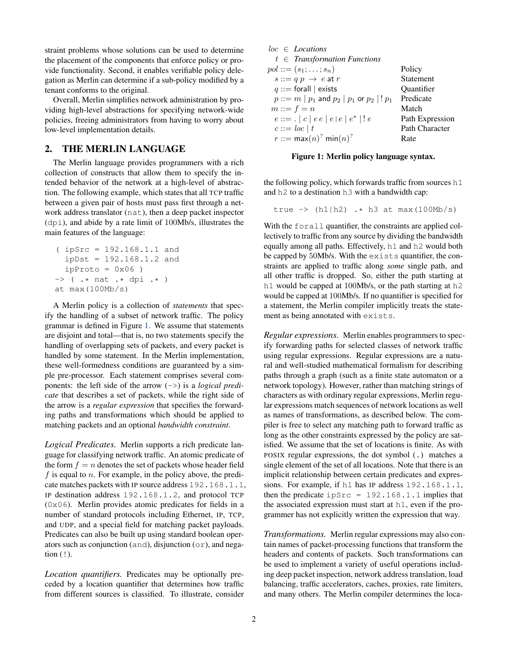straint problems whose solutions can be used to determine the placement of the components that enforce policy or provide functionality. Second, it enables verifiable policy delegation as Merlin can determine if a sub-policy modified by a tenant conforms to the original.

Overall, Merlin simplifies network administration by providing high-level abstractions for specifying network-wide policies, freeing administrators from having to worry about low-level implementation details.

# <span id="page-1-1"></span>2. THE MERLIN LANGUAGE

The Merlin language provides programmers with a rich collection of constructs that allow them to specify the intended behavior of the network at a high-level of abstraction. The following example, which states that all TCP traffic between a given pair of hosts must pass first through a network address translator (nat), then a deep packet inspector (dpi), and abide by a rate limit of 100Mb/s, illustrates the main features of the language:

```
( ipSrc = 192.168.1.1 and
  ipDst = 192.168.1.2 and
  ipProto = 0x06)
\rightarrow ( .* nat .* dpi .* )
at max(100Mb/s)
```
A Merlin policy is a collection of *statements* that specify the handling of a subset of network traffic. The policy grammar is defined in Figure [1.](#page-1-0) We assume that statements are disjoint and total—that is, no two statements specify the handling of overlapping sets of packets, and every packet is handled by some statement. In the Merlin implementation, these well-formedness conditions are guaranteed by a simple pre-processor. Each statement comprises several components: the left side of the arrow (->) is a *logical predicate* that describes a set of packets, while the right side of the arrow is a *regular expression* that specifies the forwarding paths and transformations which should be applied to matching packets and an optional *bandwidth constraint*.

*Logical Predicates.* Merlin supports a rich predicate language for classifying network traffic. An atomic predicate of the form  $f = n$  denotes the set of packets whose header field  $f$  is equal to  $n$ . For example, in the policy above, the predicate matches packets with IP source address 192.168.1.1, IP destination address 192.168.1.2, and protocol TCP  $(0 \times 06)$ . Merlin provides atomic predicates for fields in a number of standard protocols including Ethernet, IP, TCP, and UDP, and a special field for matching packet payloads. Predicates can also be built up using standard boolean operators such as conjunction (and), disjunction (or), and negation (!).

*Location quantifiers.* Predicates may be optionally preceded by a location quantifier that determines how traffic from different sources is classified. To illustrate, consider

| $loc \in Locations$                                          |                       |
|--------------------------------------------------------------|-----------------------|
| $t \in$ Transformation Functions                             |                       |
| $pol ::= (s_1; \ldots; s_n)$                                 | Policy                |
| $s ::= q p \rightarrow e$ at r                               | Statement             |
| $q ::=$ forall $ $ exists                                    | Quantifier            |
| $p ::= m   p_1$ and $p_2   p_1$ or $p_2   p_1$               | Predicate             |
| $m ::= f = n$                                                | Match                 |
| $e ::= . \nvert c \nvert e e \nvert e e \nvert e^* \nvert e$ | Path Expression       |
| $c ::= loc   t$                                              | <b>Path Character</b> |
| $r ::= max(n)^{7} min(n)^{7}$                                | Rate                  |

#### <span id="page-1-0"></span>Figure 1: Merlin policy language syntax.

the following policy, which forwards traffic from sources h1 and h2 to a destination h3 with a bandwidth cap:

true  $\rightarrow$  (h1|h2) .\* h3 at max(100Mb/s)

With the forall quantifier, the constraints are applied collectively to traffic from any source by dividing the bandwidth equally among all paths. Effectively, h1 and h2 would both be capped by 50Mb/s. With the exists quantifier, the constraints are applied to traffic along *some* single path, and all other traffic is dropped. So, either the path starting at h<sub>1</sub> would be capped at 100Mb/s, or the path starting at h<sub>2</sub> would be capped at 100Mb/s. If no quantifier is specified for a statement, the Merlin compiler implicitly treats the statement as being annotated with exists.

*Regular expressions.* Merlin enables programmers to specify forwarding paths for selected classes of network traffic using regular expressions. Regular expressions are a natural and well-studied mathematical formalism for describing paths through a graph (such as a finite state automaton or a network topology). However, rather than matching strings of characters as with ordinary regular expressions, Merlin regular expressions match sequences of network locations as well as names of transformations, as described below. The compiler is free to select any matching path to forward traffic as long as the other constraints expressed by the policy are satisfied. We assume that the set of locations is finite. As with POSIX regular expressions, the dot symbol (.) matches a single element of the set of all locations. Note that there is an implicit relationship between certain predicates and expressions. For example, if h1 has IP address 192.168.1.1, then the predicate  $i$ pSrc = 192.168.1.1 implies that the associated expression must start at h1, even if the programmer has not explicitly written the expression that way.

*Transformations.* Merlin regular expressions may also contain names of packet-processing functions that transform the headers and contents of packets. Such transformations can be used to implement a variety of useful operations including deep packet inspection, network address translation, load balancing, traffic accelerators, caches, proxies, rate limiters, and many others. The Merlin compiler determines the loca-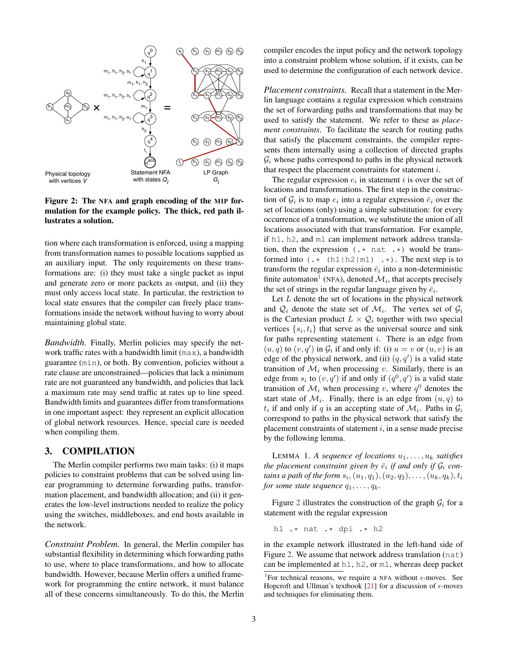

<span id="page-2-1"></span>Figure 2: The NFA and graph encoding of the MIP formulation for the example policy. The thick, red path illustrates a solution.

tion where each transformation is enforced, using a mapping from transformation names to possible locations supplied as an auxiliary input. The only requirements on these transformations are: (i) they must take a single packet as input and generate zero or more packets as output, and (ii) they must only access local state. In particular, the restriction to local state ensures that the compiler can freely place transformations inside the network without having to worry about maintaining global state.

*Bandwidth.* Finally, Merlin policies may specify the network traffic rates with a bandwidth limit (max), a bandwidth guarantee (min), or both. By convention, policies without a rate clause are unconstrained—policies that lack a minimum rate are not guaranteed any bandwidth, and policies that lack a maximum rate may send traffic at rates up to line speed. Bandwidth limits and guarantees differ from transformations in one important aspect: they represent an explicit allocation of global network resources. Hence, special care is needed when compiling them.

# 3. COMPILATION

The Merlin compiler performs two main tasks: (i) it maps policies to constraint problems that can be solved using linear programming to determine forwarding paths, transformation placement, and bandwidth allocation; and (ii) it generates the low-level instructions needed to realize the policy using the switches, middleboxes, and end hosts available in the network.

*Constraint Problem.* In general, the Merlin compiler has substantial flexibility in determining which forwarding paths to use, where to place transformations, and how to allocate bandwidth. However, because Merlin offers a unified framework for programming the entire network, it must balance all of these concerns simultaneously. To do this, the Merlin compiler encodes the input policy and the network topology into a constraint problem whose solution, if it exists, can be used to determine the configuration of each network device.

*Placement constraints.* Recall that a statement in the Merlin language contains a regular expression which constrains the set of forwarding paths and transformations that may be used to satisfy the statement. We refer to these as *placement constraints*. To facilitate the search for routing paths that satisfy the placement constraints, the compiler represents them internally using a collection of directed graphs  $\mathcal{G}_i$  whose paths correspond to paths in the physical network that respect the placement constraints for statement  $i$ .

The regular expression  $e_i$  in statement i is over the set of locations and transformations. The first step in the construction of  $\mathcal{G}_i$  is to map  $e_i$  into a regular expression  $\bar{e}_i$  over the set of locations (only) using a simple substitution: for every occurrence of a transformation, we substitute the union of all locations associated with that transformation. For example, if h1, h2, and m1 can implement network address translation, then the expression  $(x \cdot \text{nat } \cdot \cdot)$  would be transformed into  $(x * (h1|h2|m1) \rightarrow x)$ . The next step is to transform the regular expression  $\bar{e}_i$  into a non-deterministic finite automaton<sup>[1](#page-2-0)</sup> (NFA), denoted  $\mathcal{M}_i$ , that accepts precisely the set of strings in the regular language given by  $\bar{e}_i$ .

Let  $L$  denote the set of locations in the physical network and  $\mathcal{Q}_i$  denote the state set of  $\mathcal{M}_i$ . The vertex set of  $\mathcal{G}_i$ is the Cartesian product  $L \times Q_i$  together with two special vertices  $\{s_i, t_i\}$  that serve as the universal source and sink for paths representing statement  $i$ . There is an edge from  $(u, q)$  to  $(v, q')$  in  $\mathcal{G}_i$  if and only if: (i)  $u = v$  or  $(u, v)$  is an edge of the physical network, and (ii)  $(q, q')$  is a valid state transition of  $\mathcal{M}_i$  when processing v. Similarly, there is an edge from  $s_i$  to  $(v, q')$  if and only if  $(q<sup>0</sup>, q')$  is a valid state transition of  $\mathcal{M}_i$  when processing v, where  $q^0$  denotes the start state of  $\mathcal{M}_i$ . Finally, there is an edge from  $(u, q)$  to  $t_i$  if and only if q is an accepting state of  $\mathcal{M}_i$ . Paths in  $\mathcal{G}_i$ correspond to paths in the physical network that satisfy the placement constraints of statement  $i$ , in a sense made precise by the following lemma.

LEMMA 1. *A sequence of locations*  $u_1, \ldots, u_k$  *satisfies the placement constraint given by*  $\bar{e}_i$  *if and only if*  $\mathcal{G}_i$  *con*tains a path of the form  $s_i, (u_1, q_1), (u_2, q_2), \ldots, (u_k, q_k), t_i$ *for some state sequence*  $q_1, \ldots, q_k$ .

Figure [2](#page-2-1) illustrates the construction of the graph  $G_i$  for a statement with the regular expression

h1 .\* nat .\* dpi .\* h2

in the example network illustrated in the left-hand side of Figure [2.](#page-2-1) We assume that network address translation (nat) can be implemented at h1, h2, or m1, whereas deep packet

<span id="page-2-0"></span><sup>&</sup>lt;sup>1</sup>For technical reasons, we require a NFA without  $\epsilon$ -moves. See Hopcroft and Ullman's textbook [\[21\]](#page-6-11) for a discussion of  $\epsilon$ -moves and techniques for eliminating them.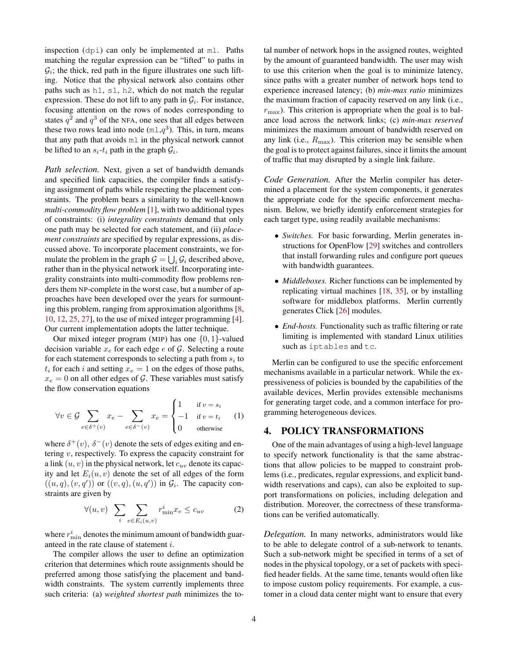inspection (dpi) can only be implemented at m1. Paths matching the regular expression can be "lifted" to paths in  $\mathcal{G}_i$ ; the thick, red path in the figure illustrates one such lifting. Notice that the physical network also contains other paths such as h1, s1, h2, which do not match the regular expression. These do not lift to any path in  $\mathcal{G}_i$ . For instance, focusing attention on the rows of nodes corresponding to states  $q^2$  and  $q^3$  of the NFA, one sees that all edges between these two rows lead into node  $(m1,q^3)$ . This, in turn, means that any path that avoids m1 in the physical network cannot be lifted to an  $s_i$ - $t_i$  path in the graph  $\mathcal{G}_i$ .

*Path selection.* Next, given a set of bandwidth demands and specified link capacities, the compiler finds a satisfying assignment of paths while respecting the placement constraints. The problem bears a similarity to the well-known *multi-commodity flow problem* [\[1\]](#page-6-12), with two additional types of constraints: (i) *integrality constraints* demand that only one path may be selected for each statement, and (ii) *placement constraints* are specified by regular expressions, as discussed above. To incorporate placement constraints, we formulate the problem in the graph  $G = \bigcup_i G_i$  described above, rather than in the physical network itself. Incorporating integrality constraints into multi-commodity flow problems renders them NP-complete in the worst case, but a number of approaches have been developed over the years for surmounting this problem, ranging from approximation algorithms [\[8,](#page-6-13) [10,](#page-6-14) [12,](#page-6-15) [25,](#page-6-16) [27\]](#page-6-17), to the use of mixed integer programming [\[4\]](#page-6-18). Our current implementation adopts the latter technique.

Our mixed integer program (MIP) has one  $\{0, 1\}$ -valued decision variable  $x_e$  for each edge e of G. Selecting a route for each statement corresponds to selecting a path from  $s_i$  to  $t_i$  for each i and setting  $x_e = 1$  on the edges of those paths,  $x_e = 0$  on all other edges of G. These variables must satisfy the flow conservation equations

$$
\forall v \in \mathcal{G} \sum_{e \in \delta^+(v)} x_e - \sum_{e \in \delta^-(v)} x_e = \begin{cases} 1 & \text{if } v = s_i \\ -1 & \text{if } v = t_i \\ 0 & \text{otherwise} \end{cases} (1)
$$

where  $\delta^+(v)$ ,  $\delta^-(v)$  denote the sets of edges exiting and entering v, respectively. To express the capacity constraint for a link  $(u, v)$  in the physical network, let  $c_{uv}$  denote its capacity and let  $E_i(u, v)$  denote the set of all edges of the form  $((u, q), (v, q'))$  or  $((v, q), (u, q'))$  in  $\mathcal{G}_i$ . The capacity constraints are given by

$$
\forall (u,v) \sum_{i} \sum_{e \in E_i(u,v)} r_{\min}^i x_e \le c_{uv} \tag{2}
$$

where  $r_{\min}^i$  denotes the minimum amount of bandwidth guaranteed in the rate clause of statement i.

The compiler allows the user to define an optimization criterion that determines which route assignments should be preferred among those satisfying the placement and bandwidth constraints. The system currently implements three such criteria: (a) *weighted shortest path* minimizes the total number of network hops in the assigned routes, weighted by the amount of guaranteed bandwidth. The user may wish to use this criterion when the goal is to minimize latency, since paths with a greater number of network hops tend to experience increased latency; (b) *min-max ratio* minimizes the maximum fraction of capacity reserved on any link (i.e.,  $r_{\text{max}}$ ). This criterion is appropriate when the goal is to balance load across the network links; (c) *min-max reserved* minimizes the maximum amount of bandwidth reserved on any link (i.e.,  $R_{\text{max}}$ ). This criterion may be sensible when the goal is to protect against failures, since it limits the amount of traffic that may disrupted by a single link failure.

*Code Generation.* After the Merlin compiler has determined a placement for the system components, it generates the appropriate code for the specific enforcement mechanism. Below, we briefly identify enforcement strategies for each target type, using readily available mechanisms:

- *Switches.* For basic forwarding, Merlin generates instructions for OpenFlow [\[29\]](#page-6-2) switches and controllers that install forwarding rules and configure port queues with bandwidth guarantees.
- *Middleboxes.* Richer functions can be implemented by replicating virtual machines [\[18,](#page-6-19) [35\]](#page-6-5), or by installing software for middlebox platforms. Merlin currently generates Click [\[26\]](#page-6-4) modules.
- *End-hosts*. Functionality such as traffic filtering or rate limiting is implemented with standard Linux utilities such as iptables and tc.

Merlin can be configured to use the specific enforcement mechanisms available in a particular network. While the expressiveness of policies is bounded by the capabilities of the available devices, Merlin provides extensible mechanisms for generating target code, and a common interface for programming heterogeneous devices.

### 4. POLICY TRANSFORMATIONS

One of the main advantages of using a high-level language to specify network functionality is that the same abstractions that allow policies to be mapped to constraint problems (i.e., predicates, regular expressions, and explicit bandwidth reservations and caps), can also be exploited to support transformations on policies, including delegation and distribution. Moreover, the correctness of these transformations can be verified automatically.

*Delegation.* In many networks, administrators would like to be able to delegate control of a sub-network to tenants. Such a sub-network might be specified in terms of a set of nodes in the physical topology, or a set of packets with specified header fields. At the same time, tenants would often like to impose custom policy requirements. For example, a customer in a cloud data center might want to ensure that every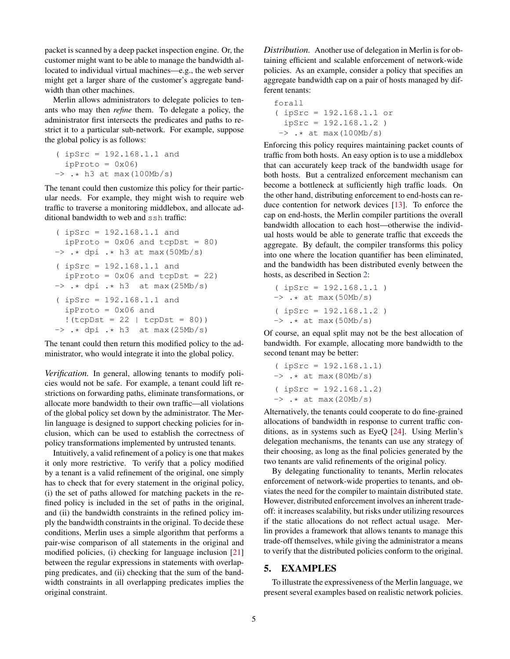packet is scanned by a deep packet inspection engine. Or, the customer might want to be able to manage the bandwidth allocated to individual virtual machines—e.g., the web server might get a larger share of the customer's aggregate bandwidth than other machines.

Merlin allows administrators to delegate policies to tenants who may then *refine* them. To delegate a policy, the administrator first intersects the predicates and paths to restrict it to a particular sub-network. For example, suppose the global policy is as follows:

```
( ipSrc = 192.168.1.1 and
  ipProto = 0x06\rightarrow .* h3 at max(100Mb/s)
```
The tenant could then customize this policy for their particular needs. For example, they might wish to require web traffic to traverse a monitoring middlebox, and allocate additional bandwidth to web and ssh traffic:

```
( ipSrc = 192.168.1.1 and
  ipProto = 0x06 and tcpDst = 80)
\rightarrow .* dpi .* h3 at max(50Mb/s)
( ipSrc = 192.168.1.1 and
  ipProto = 0x06 and tcpDst = 22)
\rightarrow .* dpi .* h3 at max(25Mb/s)
( ipSrc = 192.168.1.1 and
  ipProto = 0x06 and
  ! (tcpDst = 22 | tcpDst = 80)\rightarrow \cdot * dpi \cdot * h3 at max(25Mb/s)
```
The tenant could then return this modified policy to the administrator, who would integrate it into the global policy.

*Verification.* In general, allowing tenants to modify policies would not be safe. For example, a tenant could lift restrictions on forwarding paths, eliminate transformations, or allocate more bandwidth to their own traffic—all violations of the global policy set down by the administrator. The Merlin language is designed to support checking policies for inclusion, which can be used to establish the correctness of policy transformations implemented by untrusted tenants.

Intuitively, a valid refinement of a policy is one that makes it only more restrictive. To verify that a policy modified by a tenant is a valid refinement of the original, one simply has to check that for every statement in the original policy, (i) the set of paths allowed for matching packets in the refined policy is included in the set of paths in the original, and (ii) the bandwidth constraints in the refined policy imply the bandwidth constraints in the original. To decide these conditions, Merlin uses a simple algorithm that performs a pair-wise comparison of all statements in the original and modified policies, (i) checking for language inclusion [\[21\]](#page-6-11) between the regular expressions in statements with overlapping predicates, and (ii) checking that the sum of the bandwidth constraints in all overlapping predicates implies the original constraint.

*Distribution.* Another use of delegation in Merlin is for obtaining efficient and scalable enforcement of network-wide policies. As an example, consider a policy that specifies an aggregate bandwidth cap on a pair of hosts managed by different tenants:

```
forall
( ipSrc = 192.168.1.1 or
  ipSrc = 192.168.1.2)
 \rightarrow .* at max(100Mb/s)
```
Enforcing this policy requires maintaining packet counts of traffic from both hosts. An easy option is to use a middlebox that can accurately keep track of the bandwidth usage for both hosts. But a centralized enforcement mechanism can become a bottleneck at sufficiently high traffic loads. On the other hand, distributing enforcement to end-hosts can reduce contention for network devices [\[13\]](#page-6-20). To enforce the cap on end-hosts, the Merlin compiler partitions the overall bandwidth allocation to each host—otherwise the individual hosts would be able to generate traffic that exceeds the aggregate. By default, the compiler transforms this policy into one where the location quantifier has been eliminated, and the bandwidth has been distributed evenly between the hosts, as described in Section [2:](#page-1-1)

```
( ipSrc = 192.168.1.1 )
\rightarrow .* at max(50Mb/s)
( ipSrc = 192.168.1.2 )
\rightarrow .* at max(50Mb/s)
```
Of course, an equal split may not be the best allocation of bandwidth. For example, allocating more bandwidth to the second tenant may be better:

```
( ipSrc = 192.168.1.1)
\rightarrow \cdot \cdot at max(80Mb/s)
( ipSrc = 192.168.1.2)
\rightarrow .* at max(20Mb/s)
```
Alternatively, the tenants could cooperate to do fine-grained allocations of bandwidth in response to current traffic conditions, as in systems such as EyeQ [\[24\]](#page-6-8). Using Merlin's delegation mechanisms, the tenants can use any strategy of their choosing, as long as the final policies generated by the two tenants are valid refinements of the original policy.

By delegating functionality to tenants, Merlin relocates enforcement of network-wide properties to tenants, and obviates the need for the compiler to maintain distributed state. However, distributed enforcement involves an inherent tradeoff: it increases scalability, but risks under utilizing resources if the static allocations do not reflect actual usage. Merlin provides a framework that allows tenants to manage this trade-off themselves, while giving the administrator a means to verify that the distributed policies conform to the original.

# 5. EXAMPLES

To illustrate the expressiveness of the Merlin language, we present several examples based on realistic network policies.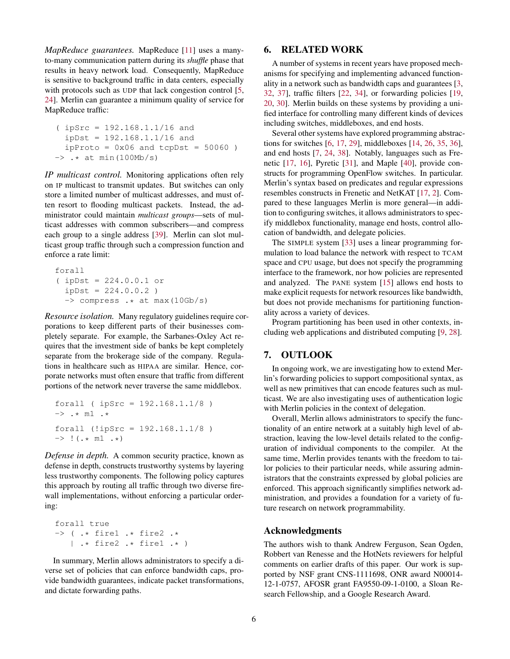*MapReduce guarantees.* MapReduce [\[11\]](#page-6-21) uses a manyto-many communication pattern during its *shuffle* phase that results in heavy network load. Consequently, MapReduce is sensitive to background traffic in data centers, especially with protocols such as UDP that lack congestion control [\[5,](#page-6-22) [24\]](#page-6-8). Merlin can guarantee a minimum quality of service for MapReduce traffic:

( ipSrc = 192.168.1.1/16 and ipDst = 192.168.1.1/16 and ipProto = 0x06 and tcpDst = 50060 ) -> .\* at min(100Mb/s)

*IP multicast control.* Monitoring applications often rely on IP multicast to transmit updates. But switches can only store a limited number of multicast addresses, and must often resort to flooding multicast packets. Instead, the administrator could maintain *multicast groups*—sets of multicast addresses with common subscribers—and compress each group to a single address [\[39\]](#page-6-23). Merlin can slot multicast group traffic through such a compression function and enforce a rate limit:

```
forall
( ipDst = 224.0.0.1 or
  ipDst = 224.0.0.2 )
  \Rightarrow compress \cdot * at max(10Gb/s)
```
*Resource isolation.* Many regulatory guidelines require corporations to keep different parts of their businesses completely separate. For example, the Sarbanes-Oxley Act requires that the investment side of banks be kept completely separate from the brokerage side of the company. Regulations in healthcare such as HIPAA are similar. Hence, corporate networks must often ensure that traffic from different portions of the network never traverse the same middlebox.

```
forall ( ipSrc = 192.168.1.1/8 )
\rightarrow . \star m1 .*
forall (!ipSrc = 192.168.1.1/8 )
\Rightarrow ! (.* m1 .*)
```
*Defense in depth.* A common security practice, known as defense in depth, constructs trustworthy systems by layering less trustworthy components. The following policy captures this approach by routing all traffic through two diverse firewall implementations, without enforcing a particular ordering:

```
forall true
\rightarrow ( .* fire1 .* fire2 .*
   | .* fire2 .* fire1 .* )
```
In summary, Merlin allows administrators to specify a diverse set of policies that can enforce bandwidth caps, provide bandwidth guarantees, indicate packet transformations, and dictate forwarding paths.

### 6. RELATED WORK

A number of systems in recent years have proposed mechanisms for specifying and implementing advanced functionality in a network such as bandwidth caps and guarantees [\[3,](#page-6-24) [32,](#page-6-25) [37\]](#page-6-26), traffic filters [\[22,](#page-6-27) [34\]](#page-6-28), or forwarding policies [\[19,](#page-6-29) [20,](#page-6-30) [30\]](#page-6-31). Merlin builds on these systems by providing a unified interface for controlling many different kinds of devices including switches, middleboxes, and end hosts.

Several other systems have explored programming abstractions for switches [\[6,](#page-6-0) [17,](#page-6-1) [29\]](#page-6-2), middleboxes [\[14,](#page-6-3) [26,](#page-6-4) [35,](#page-6-5) [36\]](#page-6-6), and end hosts [\[7,](#page-6-7) [24,](#page-6-8) [38\]](#page-6-9). Notably, languages such as Frenetic [\[17,](#page-6-1) [16\]](#page-6-32), Pyretic [\[31\]](#page-6-33), and Maple [\[40\]](#page-6-34), provide constructs for programming OpenFlow switches. In particular. Merlin's syntax based on predicates and regular expressions resembles constructs in Frenetic and NetKAT [\[17,](#page-6-1) [2\]](#page-6-35). Compared to these languages Merlin is more general—in addition to configuring switches, it allows administrators to specify middlebox functionality, manage end hosts, control allocation of bandwidth, and delegate policies.

The SIMPLE system [\[33\]](#page-6-36) uses a linear programming formulation to load balance the network with respect to TCAM space and CPU usage, but does not specify the programming interface to the framework, nor how policies are represented and analyzed. The PANE system [\[15\]](#page-6-37) allows end hosts to make explicit requests for network resources like bandwidth, but does not provide mechanisms for partitioning functionality across a variety of devices.

Program partitioning has been used in other contexts, including web applications and distributed computing [\[9,](#page-6-38) [28\]](#page-6-39).

#### 7. OUTLOOK

In ongoing work, we are investigating how to extend Merlin's forwarding policies to support compositional syntax, as well as new primitives that can encode features such as multicast. We are also investigating uses of authentication logic with Merlin policies in the context of delegation.

Overall, Merlin allows administrators to specify the functionality of an entire network at a suitably high level of abstraction, leaving the low-level details related to the configuration of individual components to the compiler. At the same time, Merlin provides tenants with the freedom to tailor policies to their particular needs, while assuring administrators that the constraints expressed by global policies are enforced. This approach significantly simplifies network administration, and provides a foundation for a variety of future research on network programmability.

#### Acknowledgments

The authors wish to thank Andrew Ferguson, Sean Ogden, Robbert van Renesse and the HotNets reviewers for helpful comments on earlier drafts of this paper. Our work is supported by NSF grant CNS-1111698, ONR award N00014- 12-1-0757, AFOSR grant FA9550-09-1-0100, a Sloan Research Fellowship, and a Google Research Award.